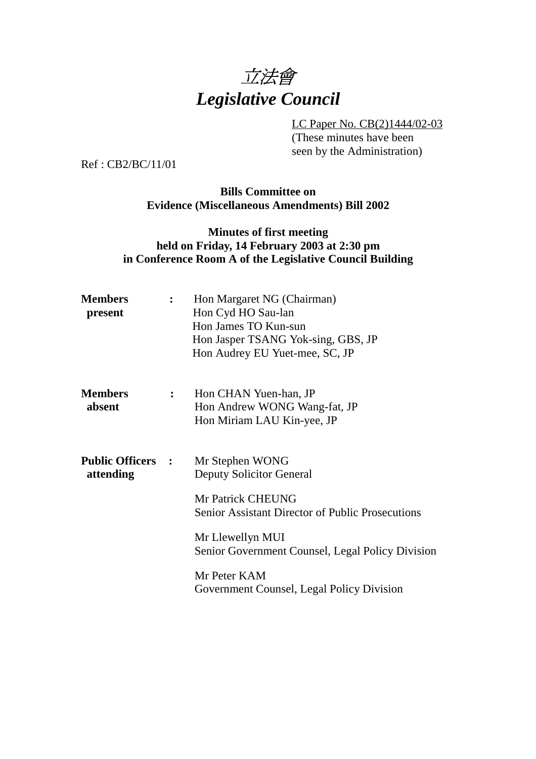

LC Paper No. CB(2)1444/02-03 (These minutes have been seen by the Administration)

Ref : CB2/BC/11/01

### **Bills Committee on Evidence (Miscellaneous Amendments) Bill 2002**

## **Minutes of first meeting held on Friday, 14 February 2003 at 2:30 pm in Conference Room A of the Legislative Council Building**

| Members<br>present                       |                  | Hon Margaret NG (Chairman)<br>Hon Cyd HO Sau-lan<br>Hon James TO Kun-sun<br>Hon Jasper TSANG Yok-sing, GBS, JP<br>Hon Audrey EU Yuet-mee, SC, JP                                                           |
|------------------------------------------|------------------|------------------------------------------------------------------------------------------------------------------------------------------------------------------------------------------------------------|
| <b>Members</b><br>absent                 | $\ddot{\bullet}$ | Hon CHAN Yuen-han, JP<br>Hon Andrew WONG Wang-fat, JP<br>Hon Miriam LAU Kin-yee, JP                                                                                                                        |
| <b>Public Officers    :</b><br>attending |                  | Mr Stephen WONG<br><b>Deputy Solicitor General</b><br>Mr Patrick CHEUNG<br><b>Senior Assistant Director of Public Prosecutions</b><br>Mr Llewellyn MUI<br>Senior Government Counsel, Legal Policy Division |
|                                          |                  | Mr Peter KAM<br>Government Counsel, Legal Policy Division                                                                                                                                                  |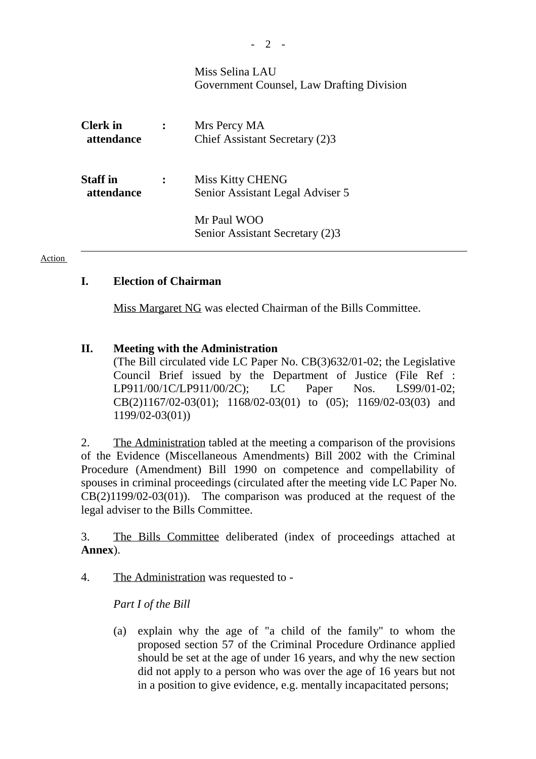|                               |                | Miss Selina LAU<br>Government Counsel, Law Drafting Division |
|-------------------------------|----------------|--------------------------------------------------------------|
| <b>Clerk</b> in<br>attendance | $\ddot{\cdot}$ | Mrs Percy MA<br>Chief Assistant Secretary (2)3               |
| <b>Staff</b> in<br>attendance | $\ddot{\cdot}$ | <b>Miss Kitty CHENG</b><br>Senior Assistant Legal Adviser 5  |
|                               |                | Mr Paul WOO<br>Senior Assistant Secretary (2)3               |

#### Action

## **I. Election of Chairman**

Miss Margaret NG was elected Chairman of the Bills Committee.

## **II. Meeting with the Administration**

(The Bill circulated vide LC Paper No. CB(3)632/01-02; the Legislative Council Brief issued by the Department of Justice (File Ref : LP911/00/1C/LP911/00/2C); LC Paper Nos. LS99/01-02; CB(2)1167/02-03(01); 1168/02-03(01) to (05); 1169/02-03(03) and 1199/02-03(01))

2. The Administration tabled at the meeting a comparison of the provisions of the Evidence (Miscellaneous Amendments) Bill 2002 with the Criminal Procedure (Amendment) Bill 1990 on competence and compellability of spouses in criminal proceedings (circulated after the meeting vide LC Paper No.  $CB(2)1199/02-03(01)$ . The comparison was produced at the request of the legal adviser to the Bills Committee.

3. The Bills Committee deliberated (index of proceedings attached at **Annex**).

4. The Administration was requested to -

*Part I of the Bill*

(a) explain why the age of "a child of the family" to whom the proposed section 57 of the Criminal Procedure Ordinance applied should be set at the age of under 16 years, and why the new section did not apply to a person who was over the age of 16 years but not in a position to give evidence, e.g. mentally incapacitated persons;

*-* 2 -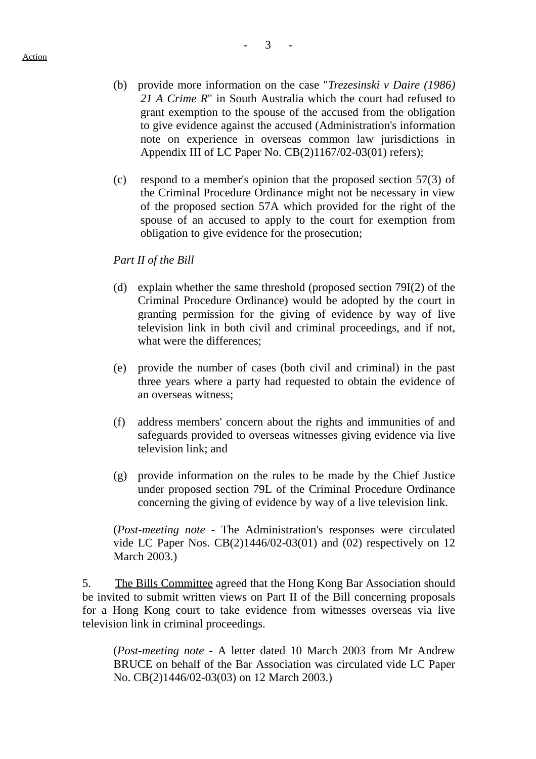- (b) provide more information on the case "*Trezesinski v Daire (1986) 21 A Crime R*" in South Australia which the court had refused to grant exemption to the spouse of the accused from the obligation to give evidence against the accused (Administration's information note on experience in overseas common law jurisdictions in Appendix III of LC Paper No. CB(2)1167/02-03(01) refers);
- (c) respond to a member's opinion that the proposed section 57(3) of the Criminal Procedure Ordinance might not be necessary in view of the proposed section 57A which provided for the right of the spouse of an accused to apply to the court for exemption from obligation to give evidence for the prosecution;

*Part II of the Bill*

- (d) explain whether the same threshold (proposed section 79I(2) of the Criminal Procedure Ordinance) would be adopted by the court in granting permission for the giving of evidence by way of live television link in both civil and criminal proceedings, and if not, what were the differences;
- (e) provide the number of cases (both civil and criminal) in the past three years where a party had requested to obtain the evidence of an overseas witness;
- (f) address members' concern about the rights and immunities of and safeguards provided to overseas witnesses giving evidence via live television link; and
- (g) provide information on the rules to be made by the Chief Justice under proposed section 79L of the Criminal Procedure Ordinance concerning the giving of evidence by way of a live television link.

(*Post-meeting note -* The Administration's responses were circulated vide LC Paper Nos. CB(2)1446/02-03(01) and (02) respectively on 12 March 2003.)

5. The Bills Committee agreed that the Hong Kong Bar Association should be invited to submit written views on Part II of the Bill concerning proposals for a Hong Kong court to take evidence from witnesses overseas via live television link in criminal proceedings.

(*Post-meeting note -* A letter dated 10 March 2003 from Mr Andrew BRUCE on behalf of the Bar Association was circulated vide LC Paper No. CB(2)1446/02-03(03) on 12 March 2003.)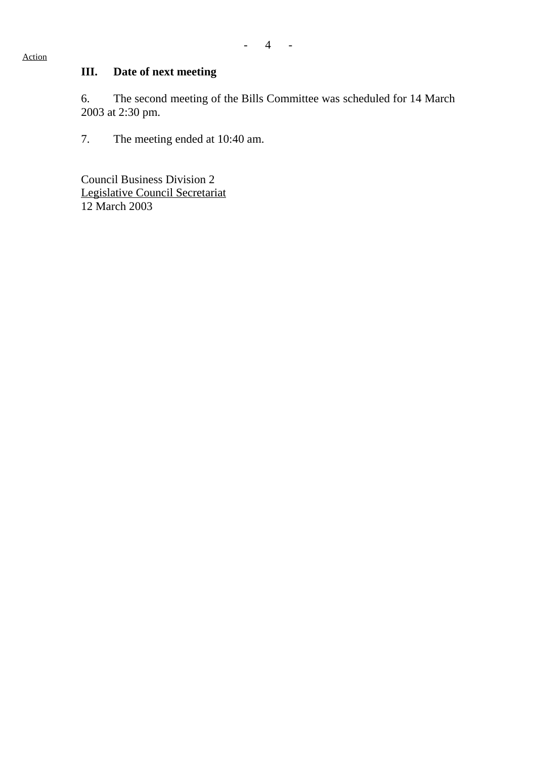# **III. Date of next meeting**

6. The second meeting of the Bills Committee was scheduled for 14 March 2003 at 2:30 pm.

7. The meeting ended at 10:40 am.

Council Business Division 2 Legislative Council Secretariat 12 March 2003

#### Action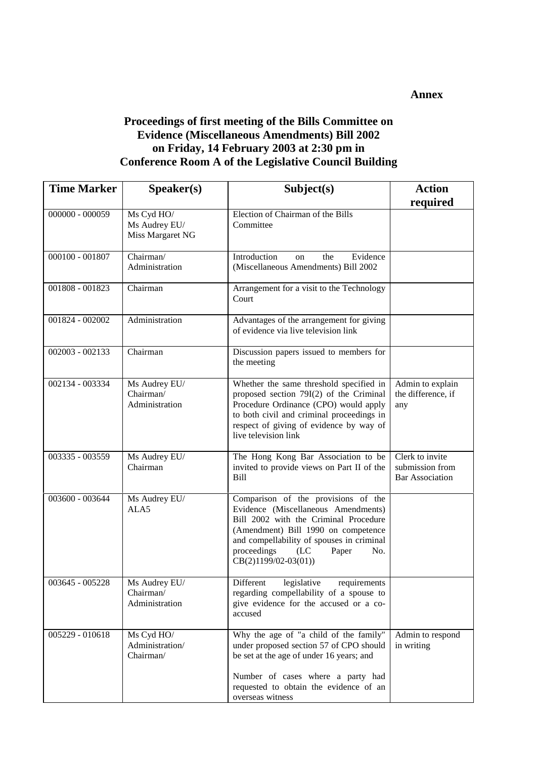#### **Annex**

## **Proceedings of first meeting of the Bills Committee on Evidence (Miscellaneous Amendments) Bill 2002 on Friday, 14 February 2003 at 2:30 pm in Conference Room A of the Legislative Council Building**

| <b>Time Marker</b> | S <b>peaker(s)</b>                              | Subject(s)                                                                                                                                                                                                                                                               | <b>Action</b>                                                |
|--------------------|-------------------------------------------------|--------------------------------------------------------------------------------------------------------------------------------------------------------------------------------------------------------------------------------------------------------------------------|--------------------------------------------------------------|
|                    |                                                 |                                                                                                                                                                                                                                                                          | required                                                     |
| $000000 - 000059$  | Ms Cyd HO/<br>Ms Audrey EU/<br>Miss Margaret NG | Election of Chairman of the Bills<br>Committee                                                                                                                                                                                                                           |                                                              |
| 000100 - 001807    | Chairman/<br>Administration                     | Introduction<br>Evidence<br>the<br>on<br>(Miscellaneous Amendments) Bill 2002                                                                                                                                                                                            |                                                              |
| 001808 - 001823    | Chairman                                        | Arrangement for a visit to the Technology<br>Court                                                                                                                                                                                                                       |                                                              |
| 001824 - 002002    | Administration                                  | Advantages of the arrangement for giving<br>of evidence via live television link                                                                                                                                                                                         |                                                              |
| 002003 - 002133    | Chairman                                        | Discussion papers issued to members for<br>the meeting                                                                                                                                                                                                                   |                                                              |
| 002134 - 003334    | Ms Audrey EU/<br>Chairman/<br>Administration    | Whether the same threshold specified in<br>proposed section 79I(2) of the Criminal<br>Procedure Ordinance (CPO) would apply<br>to both civil and criminal proceedings in<br>respect of giving of evidence by way of<br>live television link                              | Admin to explain<br>the difference, if<br>any                |
| 003335 - 003559    | Ms Audrey EU/<br>Chairman                       | The Hong Kong Bar Association to be<br>invited to provide views on Part II of the<br><b>Bill</b>                                                                                                                                                                         | Clerk to invite<br>submission from<br><b>Bar Association</b> |
| 003600 - 003644    | Ms Audrey EU/<br>ALA5                           | Comparison of the provisions of the<br>Evidence (Miscellaneous Amendments)<br>Bill 2002 with the Criminal Procedure<br>(Amendment) Bill 1990 on competence<br>and compellability of spouses in criminal<br>proceedings<br>(LC)<br>Paper<br>No.<br>$CB(2)1199/02-03(01))$ |                                                              |
| 003645 - 005228    | Ms Audrey EU/<br>Chairman/<br>Administration    | Different<br>legislative<br>requirements<br>regarding compellability of a spouse to<br>give evidence for the accused or a co-<br>accused                                                                                                                                 |                                                              |
| 005229 - 010618    | Ms Cyd HO/<br>Administration/<br>Chairman/      | Why the age of "a child of the family"<br>under proposed section 57 of CPO should<br>be set at the age of under 16 years; and<br>Number of cases where a party had<br>requested to obtain the evidence of an<br>overseas witness                                         | Admin to respond<br>in writing                               |